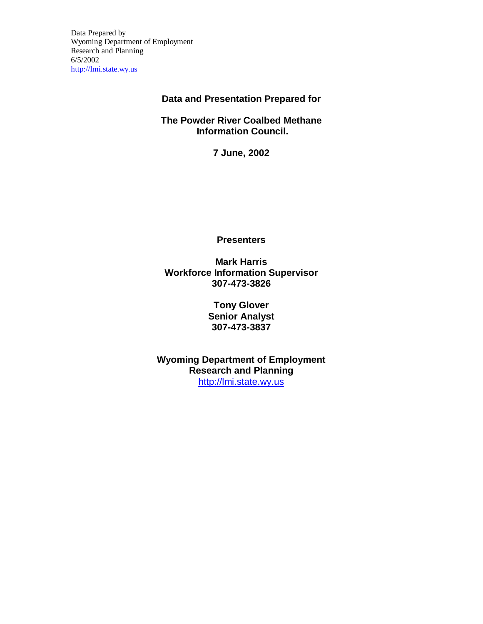Data Prepared by Wyoming Department of Employment Research and Planning 6/5/2002 http://lmi.state.wy.us

## **Data and Presentation Prepared for**

**The Powder River Coalbed Methane Information Council.**

**7 June, 2002**

**Presenters**

**Mark Harris Workforce Information Supervisor 307-473-3826**

> **Tony Glover Senior Analyst 307-473-3837**

**Wyoming Department of Employment Research and Planning** http://lmi.state.wy.us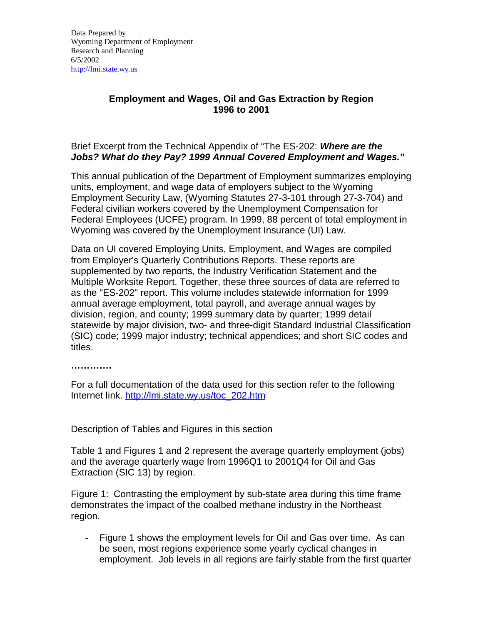## **Employment and Wages, Oil and Gas Extraction by Region 1996 to 2001**

## Brief Excerpt from the Technical Appendix of "The ES-202: *Where are the Jobs? What do they Pay? 1999 Annual Covered Employment and Wages."*

This annual publication of the Department of Employment summarizes employing units, employment, and wage data of employers subject to the Wyoming Employment Security Law, (Wyoming Statutes 27-3-101 through 27-3-704) and Federal civilian workers covered by the Unemployment Compensation for Federal Employees (UCFE) program. In 1999, 88 percent of total employment in Wyoming was covered by the Unemployment Insurance (UI) Law.

Data on UI covered Employing Units, Employment, and Wages are compiled from Employer's Quarterly Contributions Reports. These reports are supplemented by two reports, the Industry Verification Statement and the Multiple Worksite Report. Together, these three sources of data are referred to as the "ES-202" report. This volume includes statewide information for 1999 annual average employment, total payroll, and average annual wages by division, region, and county; 1999 summary data by quarter; 1999 detail statewide by major division, two- and three-digit Standard Industrial Classification (SIC) code; 1999 major industry; technical appendices; and short SIC codes and titles.

**………… .**

For a full documentation of the data used for this section refer to the following Internet link. http://lmi.state.wy.us/toc\_202.htm

Description of Tables and Figures in this section

Table 1 and Figures 1 and 2 represent the average quarterly employment (jobs) and the average quarterly wage from 1996Q1 to 2001Q4 for Oil and Gas Extraction (SIC 13) by region.

Figure 1: Contrasting the employment by sub-state area during this time frame demonstrates the impact of the coalbed methane industry in the Northeast region.

- Figure 1 shows the employment levels for Oil and Gas over time. As can be seen, most regions experience some yearly cyclical changes in employment. Job levels in all regions are fairly stable from the first quarter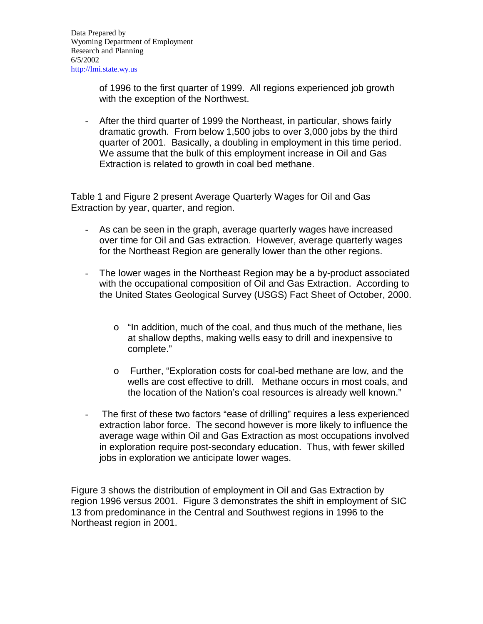of 1996 to the first quarter of 1999. All regions experienced job growth with the exception of the Northwest.

- After the third quarter of 1999 the Northeast, in particular, shows fairly dramatic growth. From below 1,500 jobs to over 3,000 jobs by the third quarter of 2001. Basically, a doubling in employment in this time period. We assume that the bulk of this employment increase in Oil and Gas Extraction is related to growth in coal bed methane.

Table 1 and Figure 2 present Average Quarterly Wages for Oil and Gas Extraction by year, quarter, and region.

- As can be seen in the graph, average quarterly wages have increased over time for Oil and Gas extraction. However, average quarterly wages for the Northeast Region are generally lower than the other regions.
- The lower wages in the Northeast Region may be a by-product associated with the occupational composition of Oil and Gas Extraction. According to the United States Geological Survey (USGS) Fact Sheet of October, 2000.
	- o "In addition, much of the coal, and thus much of the methane, lies at shallow depths, making wells easy to drill and inexpensive to complete."
	- o Further, "Exploration costs for coal-bed methane are low, and the wells are cost effective to drill. Methane occurs in most coals, and the location of the Nation's coal resources is already well known."
- The first of these two factors "ease of drilling" requires a less experienced extraction labor force. The second however is more likely to influence the average wage within Oil and Gas Extraction as most occupations involved in exploration require post-secondary education. Thus, with fewer skilled jobs in exploration we anticipate lower wages.

Figure 3 shows the distribution of employment in Oil and Gas Extraction by region 1996 versus 2001. Figure 3 demonstrates the shift in employment of SIC 13 from predominance in the Central and Southwest regions in 1996 to the Northeast region in 2001.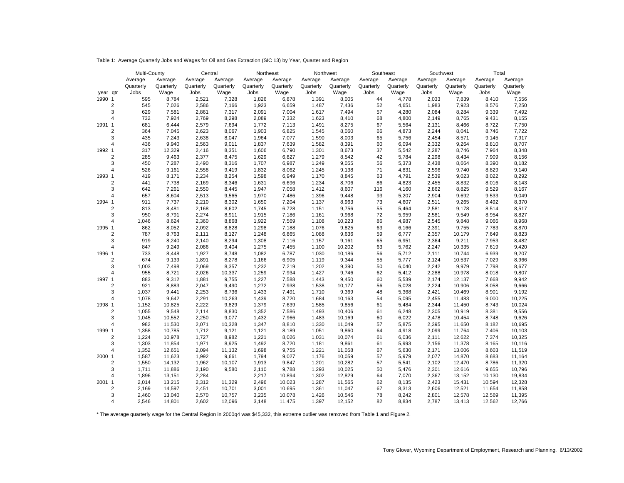Table 1: Average Quarterly Jobs and Wages for Oil and Gas Extraction (SIC 13) by Year, Quarter and Region

|                        |                         | Multi-County |                | Central        |                | Northeast      |                | Northwest      |                 | Southeast |                | Southwest      |                | Total          |                |  |
|------------------------|-------------------------|--------------|----------------|----------------|----------------|----------------|----------------|----------------|-----------------|-----------|----------------|----------------|----------------|----------------|----------------|--|
|                        |                         | Average      | Average        | Average        | Average        | Average        | Average        | Average        | Average         | Average   | Average        | Average        | Average        | Average        | Average        |  |
|                        |                         | Quarterly    | Quarterly      | Quarterly      | Quarterly      | Quarterly      | Quarterly      | Quarterly      | Quarterly       | Quarterly | Quarterly      | Quarterly      | Quarterly      | Quarterly      | Quarterly      |  |
| year qtr               |                         | Jobs         | Wage           | Jobs           | Wage           | Jobs           | Wage           | Jobs           | Wage            | Jobs      | Wage           | Jobs           | Wage           | Jobs           | Wage           |  |
| 1990 1                 |                         | 595          | 8,784          | 2,521          | 7,328          | 1,826          | 6,878          | 1,391          | 8,005           | 44        | 4,778          | 2,033          | 7,839          | 8,410          | 7,556          |  |
|                        | $\overline{2}$          | 545          | 7,026          | 2,586          | 7,166          | 1,923          | 6,659          | 1,487          | 7,436           | 52        | 4,651          | 1,983          | 7,923          | 8,576          | 7,250          |  |
|                        | 3                       | 629          | 7,581          | 2,861          | 7,317          | 2,091          | 7,004          | 1,617          | 7,494           | 57        | 4,280          | 2,084          | 8,284          | 9,339          | 7,492          |  |
|                        | $\overline{4}$          | 732          | 7,924          | 2,769          | 8,298          | 2,089          | 7,332          | 1,623          | 8,410           | 68        | 4,800          | 2,149          | 8,765          | 9,431          | 8,155          |  |
| 1991<br>$\mathbf{1}$   |                         | 681          | 6,444          | 2,579          | 7,694          | 1,772          | 7,113          | 1,491          | 8,275           | 67        | 5,564          | 2,131          | 8,466          | 8,722          | 7,750          |  |
|                        | $\boldsymbol{2}$        | 364          | 7,045          | 2,623          | 8,067          | 1,903          | 6,825          | 1,545          | 8,060           | 66        | 4,873          | 2,244          | 8,041          | 8,746          | 7,722          |  |
|                        | 3                       | 435          | 7,243          | 2,638          | 8,047          | 1,964          | 7,077          | 1,590          | 8,003           | 65        | 5,756          | 2,454          | 8,571          | 9,145          | 7,917          |  |
| $\overline{4}$         |                         | 436          | 9,940          | 2,563          | 9,011          | 1,837          | 7,639          | 1,582          | 8,391           | 60        | 6,094          | 2,332          | 9,264          | 8,810          | 8,707          |  |
| $\overline{1}$<br>1992 |                         | 317          | 12,329         | 2,416          | 8,351          | 1,606          | 6,790          | 1,301          | 8,673           | 37        | 5,542          | 2,287          | 8,746          | 7,964          | 8,348          |  |
|                        | $\overline{2}$          | 285          | 9,463          | 2,377          | 8,475          | 1,629          | 6,827          | 1,279          | 8,542           | 42        | 5,784          | 2,298          | 8,434          | 7,909          | 8,156          |  |
|                        | 3                       | 450          | 7,287          | 2,490          | 8,316          | 1,707          | 6,987          | 1,249          | 9,055           | 56        | 5,373          | 2,438          | 8,664          | 8,390          | 8,182          |  |
| $\overline{4}$         |                         | 526          | 9,161          | 2,558          | 9,419          | 1,832          | 8,062          | 1,245          | 9,138           | 71        | 4,831          | 2,596          | 9,740          | 8,829          | 9,140          |  |
| $\mathbf{1}$<br>1993   |                         | 419          | 8,171          | 2,234          | 8,254          | 1,598          | 6,949          | 1,170          | 8,845           | 63        | 4,791          | 2,539          | 9,023          | 8,022          | 8,292          |  |
|                        | $\overline{\mathbf{c}}$ | 441          | 7,738          | 2,169          | 8,346          | 1,631          | 6,696          | 1,234          | 8,706           | 86        | 4,823          | 2,455          | 8,832          | 8,016          | 8,143          |  |
|                        | 3                       | 642          | 7,261          | 2,550          | 8,445          | 1,947          | 7,058          | 1,412          | 8,607           | 116       | 4,160          | 2,862          | 8,825          | 9,529          | 8,167          |  |
| $\overline{4}$         |                         | 657          | 8,604          | 2,513          | 9,565          | 1,970          | 7,486          | 1,396          | 9,448           | 93        | 5,207          | 2,904          | 9,692          | 9,533          | 9,049          |  |
| 1994<br>$\mathbf{1}$   |                         | 911          | 7,737          | 2,210          | 8,302          | 1,650          | 7,204          | 1,137          | 8,963           | 73        | 4,607          | 2,511          | 9,265          | 8,492          | 8,370          |  |
|                        | $\boldsymbol{2}$        | 813          | 8,481          | 2,168          | 8,602          | 1,745          | 6,728          | 1,151          | 9,756           | 55        | 5,464          | 2,581          | 9,178          | 8,514          | 8,517          |  |
| $\overline{4}$         | 3                       | 950<br>1.046 | 8,791          | 2,274          | 8,911          | 1,915          | 7,186          | 1,161          | 9,968           | 72<br>86  | 5,959          | 2,581          | 9,549          | 8,954          | 8,827<br>8,968 |  |
| 1995 1                 |                         | 862          | 8,624<br>8,052 | 2,360<br>2,092 | 8,868<br>8,828 | 1,922<br>1,298 | 7,569<br>7,188 | 1,108<br>1,076 | 10,223<br>9,825 | 63        | 4,987<br>6,166 | 2,545<br>2,391 | 9,848<br>9,755 | 9,066<br>7,783 | 8,870          |  |
|                        | $\boldsymbol{2}$        | 787          | 8,763          | 2,111          | 8,127          | 1,248          | 6,865          | 1,088          | 9,636           | 59        | 6,777          | 2,357          | 10,179         | 7,649          | 8,823          |  |
|                        | 3                       | 919          | 8,240          | 2,140          | 8,294          | 1,308          | 7,116          | 1,157          | 9,161           | 65        | 6,951          | 2,364          | 9,211          | 7,953          | 8,482          |  |
| $\overline{4}$         |                         | 847          | 9,249          | 2,086          | 9,404          | 1,275          | 7,455          | 1,100          | 10,202          | 63        | 5,762          | 2,247          | 10,335         | 7,619          | 9,420          |  |
| 1996 1                 |                         | 733          | 8,448          | 1,927          | 8,748          | 1,082          | 6,787          | 1,030          | 10,186          | 56        | 5,712          | 2,111          | 10,744         | 6,939          | 9,207          |  |
|                        | $\overline{2}$          | 674          | 9,139          | 1,891          | 8,278          | 1,166          | 6,905          | 1,119          | 9,344           | 55        | 5,777          | 2,124          | 10,537         | 7,029          | 8,966          |  |
|                        | 3                       | 1,003        | 7,498          | 2,069          | 8,357          | 1,232          | 7,219          | 1,202          | 9,390           | 50        | 6,040          | 2,242          | 9,979          | 7,798          | 8,677          |  |
| $\overline{4}$         |                         | 955          | 8,721          | 2,026          | 10,337         | 1,259          | 7,934          | 1,427          | 9,746           | 62        | 5,412          | 2,288          | 10,978         | 8,018          | 9,807          |  |
| 1997 1                 |                         | 883          | 9,312          | 1,881          | 9,755          | 1,227          | 7,588          | 1,443          | 9,450           | 60        | 5,539          | 2,174          | 12,137         | 7,668          | 9,942          |  |
|                        | $\overline{2}$          | 921          | 8,883          | 2,047          | 9,490          | 1,272          | 7,938          | 1,538          | 10,177          | 56        | 5,028          | 2,224          | 10,906         | 8,058          | 9,666          |  |
|                        | 3                       | 1,037        | 9,441          | 2,253          | 8,736          | 1,433          | 7,491          | 1,710          | 9,369           | 48        | 5,368          | 2,421          | 10,469         | 8,901          | 9,192          |  |
| $\overline{4}$         |                         | 1,078        | 9,642          | 2,291          | 10,263         | 1,439          | 8,720          | 1,684          | 10,163          | 54        | 5,095          | 2,455          | 11,483         | 9,000          | 10,225         |  |
| 1998<br>$\mathbf{1}$   |                         | 1,152        | 10,825         | 2,222          | 9,829          | 1,379          | 7,639          | 1,585          | 9,856           | 61        | 5,484          | 2,344          | 11,450         | 8,743          | 10,024         |  |
|                        | $\overline{2}$          | 1,055        | 9,548          | 2,114          | 8,830          | 1,352          | 7,586          | 1,493          | 10,406          | 61        | 6,248          | 2,305          | 10,919         | 8,381          | 9,556          |  |
|                        | 3                       | 1,045        | 10,552         | 2,250          | 9,077          | 1,432          | 7,966          | 1,483          | 10,169          | 60        | 6,022          | 2,478          | 10,454         | 8,748          | 9,626          |  |
| $\overline{4}$         |                         | 982          | 11,530         | 2,071          | 10,328         | 1,347          | 8,810          | 1,330          | 11,049          | 57        | 5,875          | 2,395          | 11,650         | 8,182          | 10,695         |  |
| 1999<br>$\mathbf{1}$   |                         | 1,358        | 10,785         | 1,712          | 9,121          | 1,121          | 8,189          | 1,051          | 9,860           | 64        | 4,918          | 2,099          | 11,764         | 7,406          | 10,103         |  |
|                        | $\sqrt{2}$              | 1,224        | 10,978         | 1,727          | 8,982          | 1,221          | 8,026          | 1,031          | 10,074          | 61        | 6,036          | 2,111          | 12,622         | 7,374          | 10,325         |  |
|                        | 3                       | 1,303        | 11,854         | 1,971          | 8,925          | 1,492          | 8,720          | 1,181          | 9,861           | 61        | 5,993          | 2,156          | 11,378         | 8,165          | 10,116         |  |
| $\overline{4}$         |                         | 1,352        | 12,651         | 2,094          | 11,132         | 1,698          | 9,755          | 1,221          | 11,058          | 67        | 5,630          | 2,171          | 13,006         | 8,603          | 11,519         |  |
| 2000<br>$\mathbf{1}$   |                         | 1,587        | 11,623         | 1,992          | 9,661          | 1,794          | 9,027          | 1,176          | 10,059          | 57        | 5,979          | 2,077          | 14,870         | 8,683          | 11,164         |  |
|                        | $\overline{2}$          | 1,550        | 14,132         | 1,962          | 10,107         | 1,913          | 9,847          | 1,201          | 10,282          | 57        | 5,541          | 2,102          | 12,470         | 8,786          | 11,320         |  |
|                        | 3                       | 1,711        | 11,886         | 2,190          | 9,580          | 2,110          | 9,788          | 1,293          | 10,025          | 50        | 5,476          | 2,301          | 12,616         | 9,655          | 10,796         |  |
| $\overline{4}$         |                         | 1,896        | 13,151         | 2,284          |                | 2,217          | 10,894         | 1,302          | 12,829          | 64        | 7,070          | 2,367          | 13,152         | 10,130         | 19,834         |  |
| 2001 1                 |                         | 2,014        | 13,215         | 2,312          | 11,329         | 2,496          | 10,023         | 1,287          | 11,565          | 62        | 8,135          | 2,423          | 15,431         | 10,594         | 12,328         |  |
|                        | $\overline{2}$          | 2,169        | 14,597         | 2,451          | 10,701         | 3,001          | 10,695         | 1,361          | 11,047          | 67        | 8,313          | 2,606          | 12,521         | 11,654         | 11,858         |  |
|                        | 3                       | 2,460        | 13,040         | 2,570          | 10,757         | 3,235          | 10,078         | 1,426          | 10,546          | 78        | 8,242          | 2,801          | 12,578         | 12,569         | 11,395         |  |
| $\overline{4}$         |                         | 2,546        | 14,801         | 2,602          | 12,096         | 3,148          | 11,475         | 1,397          | 12,152          | 82        | 8,834          | 2,787          | 13,413         | 12,562         | 12,766         |  |

\* The average quarterly wage for the Central Region in 2000q4 was \$45,332, this extreme outlier was removed from Table 1 and Figure 2.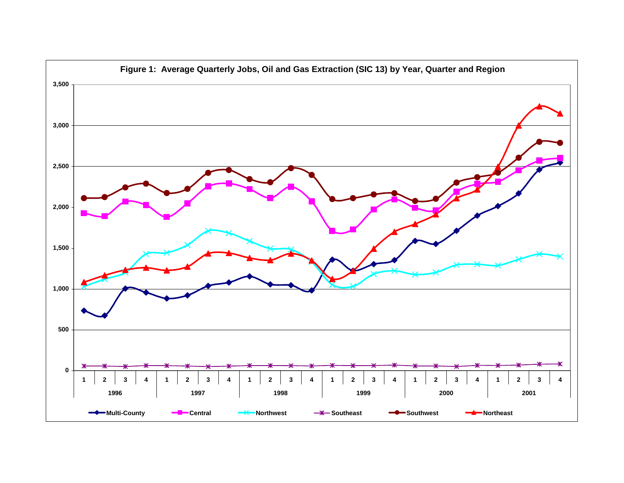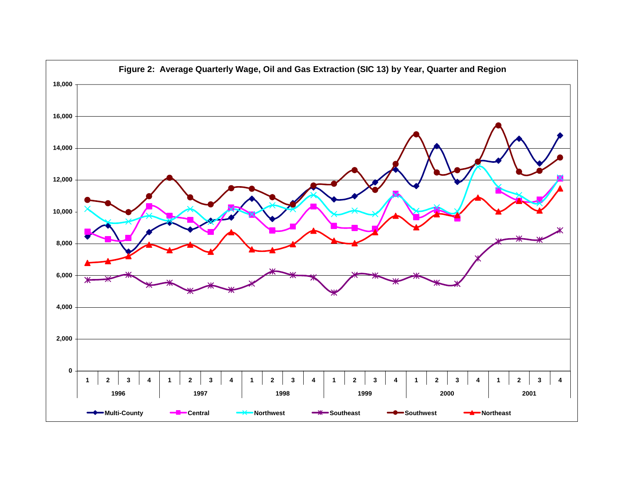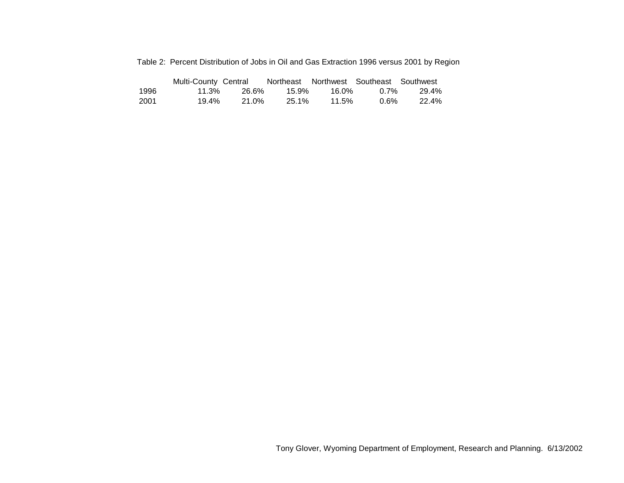|  | Table 2: Percent Distribution of Jobs in Oil and Gas Extraction 1996 versus 2001 by Region |  |  |  |  |  |  |
|--|--------------------------------------------------------------------------------------------|--|--|--|--|--|--|
|--|--------------------------------------------------------------------------------------------|--|--|--|--|--|--|

|      | Multi-County Central |       | Northeast Northwest Southeast Southwest |       |      |       |
|------|----------------------|-------|-----------------------------------------|-------|------|-------|
| 1996 | 11.3%                | 26.6% | 15.9%                                   | 16.0% | በ 7% | 29.4% |
| 2001 | 19.4%                | 21.0% | 25.1%                                   | 11.5% | 0.6% | 22.4% |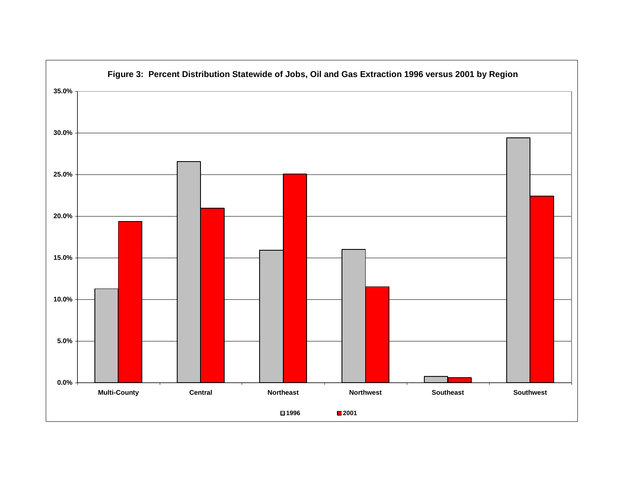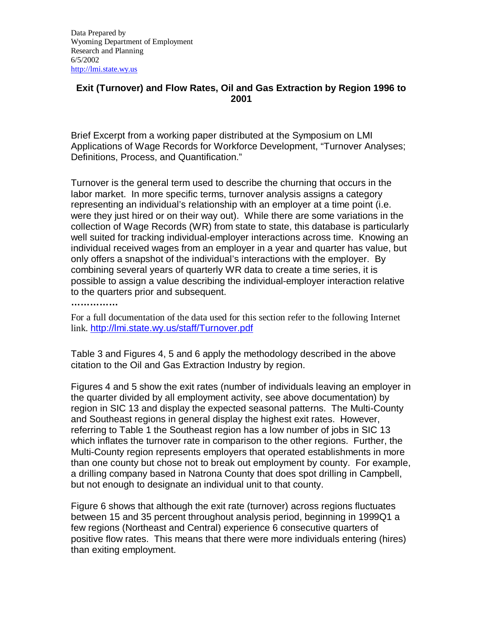## **Exit (Turnover) and Flow Rates, Oil and Gas Extraction by Region 1996 to 2001**

Brief Excerpt from a working paper distributed at the Symposium on LMI Applications of Wage Records for Workforce Development, "Turnover Analyses; Definitions, Process, and Quantification."

Turnover is the general term used to describe the churning that occurs in the labor market. In more specific terms, turnover analysis assigns a category representing an individual's relationship with an employer at a time point (i.e. were they just hired or on their way out). While there are some variations in the collection of Wage Records (WR) from state to state, this database is particularly well suited for tracking individual-employer interactions across time. Knowing an individual received wages from an employer in a year and quarter has value, but only offers a snapshot of the individual's interactions with the employer. By combining several years of quarterly WR data to create a time series, it is possible to assign a value describing the individual-employer interaction relative to the quarters prior and subsequent.

**……………**

For a full documentation of the data used for this section refer to the following Internet link. http://lmi.state.wy.us/staff/Turnover.pdf

Table 3 and Figures 4, 5 and 6 apply the methodology described in the above citation to the Oil and Gas Extraction Industry by region.

Figures 4 and 5 show the exit rates (number of individuals leaving an employer in the quarter divided by all employment activity, see above documentation) by region in SIC 13 and display the expected seasonal patterns. The Multi-County and Southeast regions in general display the highest exit rates. However, referring to Table 1 the Southeast region has a low number of jobs in SIC 13 which inflates the turnover rate in comparison to the other regions. Further, the Multi-County region represents employers that operated establishments in more than one county but chose not to break out employment by county. For example, a drilling company based in Natrona County that does spot drilling in Campbell, but not enough to designate an individual unit to that county.

Figure 6 shows that although the exit rate (turnover) across regions fluctuates between 15 and 35 percent throughout analysis period, beginning in 1999Q1 a few regions (Northeast and Central) experience 6 consecutive quarters of positive flow rates. This means that there were more individuals entering (hires) than exiting employment.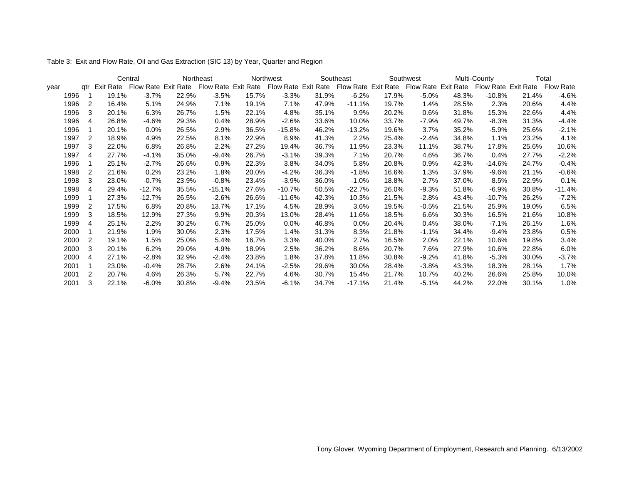Table 3: Exit and Flow Rate, Oil and Gas Extraction (SIC 13) by Year, Quarter and Region

|      |     |       | Central  |       | Northeast |       | Northwest |       | Southeast                                                                                                                                             |       | Southwest |       | Multi-County | Total |          |  |
|------|-----|-------|----------|-------|-----------|-------|-----------|-------|-------------------------------------------------------------------------------------------------------------------------------------------------------|-------|-----------|-------|--------------|-------|----------|--|
| vear | atr |       |          |       |           |       |           |       | Exit Rate Flow Rate Exit Rate Flow Rate Exit Rate Flow Rate Exit Rate Flow Rate Exit Rate Flow Rate Flow Rate Exit Rate Flow Rate Flow Rate Flow Rate |       |           |       |              |       |          |  |
| 1996 |     | 19.1% | $-3.7%$  | 22.9% | $-3.5%$   | 15.7% | $-3.3%$   | 31.9% | $-6.2%$                                                                                                                                               | 17.9% | $-5.0\%$  | 48.3% | $-10.8\%$    | 21.4% | $-4.6%$  |  |
| 1996 | 2   | 16.4% | 5.1%     | 24.9% | 7.1%      | 19.1% | 7.1%      | 47.9% | $-11.1%$                                                                                                                                              | 19.7% | 1.4%      | 28.5% | 2.3%         | 20.6% | 4.4%     |  |
| 1996 | 3   | 20.1% | 6.3%     | 26.7% | 1.5%      | 22.1% | 4.8%      | 35.1% | 9.9%                                                                                                                                                  | 20.2% | 0.6%      | 31.8% | 15.3%        | 22.6% | 4.4%     |  |
| 1996 | 4   | 26.8% | $-4.6%$  | 29.3% | 0.4%      | 28.9% | $-2.6%$   | 33.6% | 10.0%                                                                                                                                                 | 33.7% | -7.9%     | 49.7% | $-8.3%$      | 31.3% | $-4.4%$  |  |
| 1996 |     | 20.1% | $0.0\%$  | 26.5% | 2.9%      | 36.5% | $-15.8%$  | 46.2% | $-13.2%$                                                                                                                                              | 19.6% | 3.7%      | 35.2% | $-5.9\%$     | 25.6% | $-2.1%$  |  |
| 1997 | 2   | 18.9% | 4.9%     | 22.5% | 8.1%      | 22.9% | 8.9%      | 41.3% | 2.2%                                                                                                                                                  | 25.4% | $-2.4%$   | 34.8% | 1.1%         | 23.2% | 4.1%     |  |
| 1997 | 3   | 22.0% | 6.8%     | 26.8% | 2.2%      | 27.2% | 19.4%     | 36.7% | 11.9%                                                                                                                                                 | 23.3% | 11.1%     | 38.7% | 17.8%        | 25.6% | 10.6%    |  |
| 1997 | 4   | 27.7% | $-4.1%$  | 35.0% | $-9.4%$   | 26.7% | $-3.1%$   | 39.3% | 7.1%                                                                                                                                                  | 20.7% | 4.6%      | 36.7% | 0.4%         | 27.7% | $-2.2%$  |  |
| 1996 |     | 25.1% | $-2.7%$  | 26.6% | 0.9%      | 22.3% | 3.8%      | 34.0% | 5.8%                                                                                                                                                  | 20.8% | 0.9%      | 42.3% | -14.6%       | 24.7% | $-0.4%$  |  |
| 1998 | 2   | 21.6% | 0.2%     | 23.2% | 1.8%      | 20.0% | $-4.2%$   | 36.3% | $-1.8%$                                                                                                                                               | 16.6% | 1.3%      | 37.9% | $-9.6%$      | 21.1% | $-0.6%$  |  |
| 1998 | 3   | 23.0% | $-0.7%$  | 23.9% | $-0.8%$   | 23.4% | $-3.9%$   | 36.0% | $-1.0%$                                                                                                                                               | 18.8% | 2.7%      | 37.0% | 8.5%         | 22.9% | 0.1%     |  |
| 1998 | 4   | 29.4% | $-12.7%$ | 35.5% | $-15.1%$  | 27.6% | $-10.7%$  | 50.5% | $-22.7%$                                                                                                                                              | 26.0% | $-9.3%$   | 51.8% | -6.9%        | 30.8% | $-11.4%$ |  |
| 1999 |     | 27.3% | $-12.7%$ | 26.5% | $-2.6%$   | 26.6% | $-11.6%$  | 42.3% | 10.3%                                                                                                                                                 | 21.5% | $-2.8%$   | 43.4% | $-10.7\%$    | 26.2% | $-7.2%$  |  |
| 1999 | 2   | 17.5% | 6.8%     | 20.8% | 13.7%     | 17.1% | 4.5%      | 28.9% | 3.6%                                                                                                                                                  | 19.5% | $-0.5%$   | 21.5% | 25.9%        | 19.0% | 6.5%     |  |
| 1999 | 3   | 18.5% | 12.9%    | 27.3% | 9.9%      | 20.3% | 13.0%     | 28.4% | 11.6%                                                                                                                                                 | 18.5% | 6.6%      | 30.3% | 16.5%        | 21.6% | 10.8%    |  |
| 1999 | 4   | 25.1% | 2.2%     | 30.2% | 6.7%      | 25.0% | 0.0%      | 46.8% | $0.0\%$                                                                                                                                               | 20.4% | 0.4%      | 38.0% | $-7.1\%$     | 26.1% | 1.6%     |  |
| 2000 |     | 21.9% | 1.9%     | 30.0% | 2.3%      | 17.5% | 1.4%      | 31.3% | 8.3%                                                                                                                                                  | 21.8% | $-1.1%$   | 34.4% | $-9.4%$      | 23.8% | 0.5%     |  |
| 2000 | 2   | 19.1% | 1.5%     | 25.0% | 5.4%      | 16.7% | 3.3%      | 40.0% | 2.7%                                                                                                                                                  | 16.5% | 2.0%      | 22.1% | 10.6%        | 19.8% | 3.4%     |  |
| 2000 | 3   | 20.1% | 6.2%     | 29.0% | 4.9%      | 18.9% | 2.5%      | 36.2% | 8.6%                                                                                                                                                  | 20.7% | 7.6%      | 27.9% | 10.6%        | 22.8% | 6.0%     |  |
| 2000 | 4   | 27.1% | $-2.8%$  | 32.9% | $-2.4%$   | 23.8% | 1.8%      | 37.8% | 11.8%                                                                                                                                                 | 30.8% | $-9.2%$   | 41.8% | $-5.3%$      | 30.0% | $-3.7%$  |  |
| 2001 |     | 23.0% | $-0.4%$  | 28.7% | 2.6%      | 24.1% | $-2.5%$   | 29.6% | 30.0%                                                                                                                                                 | 28.4% | $-3.8%$   | 43.3% | 18.3%        | 28.1% | 1.7%     |  |
| 2001 | 2   | 20.7% | 4.6%     | 26.3% | 5.7%      | 22.7% | 4.6%      | 30.7% | 15.4%                                                                                                                                                 | 21.7% | 10.7%     | 40.2% | 26.6%        | 25.8% | 10.0%    |  |
| 2001 | 3   | 22.1% | $-6.0%$  | 30.8% | $-9.4%$   | 23.5% | $-6.1%$   | 34.7% | $-17.1%$                                                                                                                                              | 21.4% | $-5.1%$   | 44.2% | 22.0%        | 30.1% | 1.0%     |  |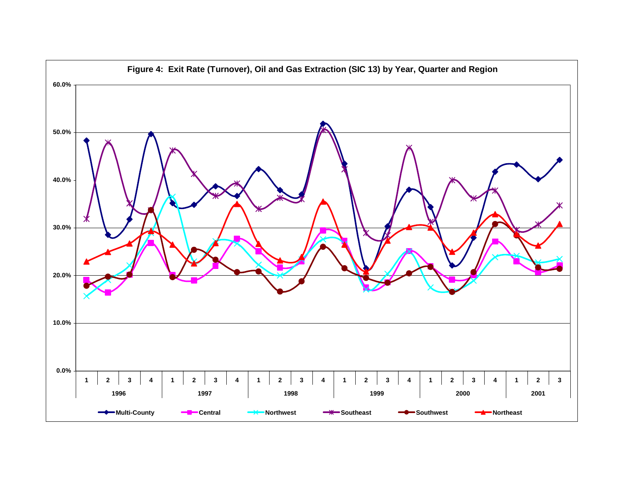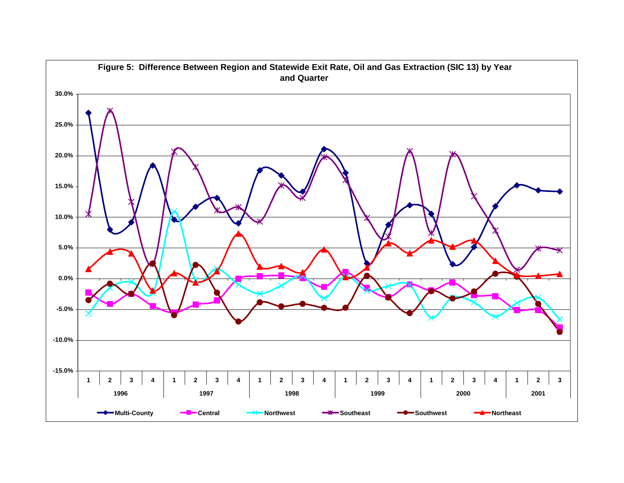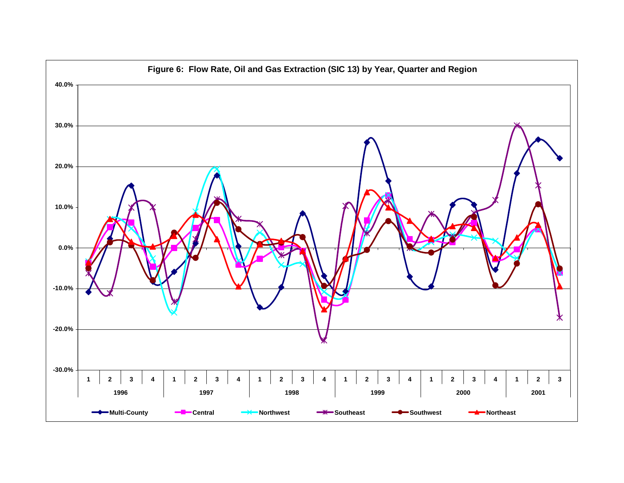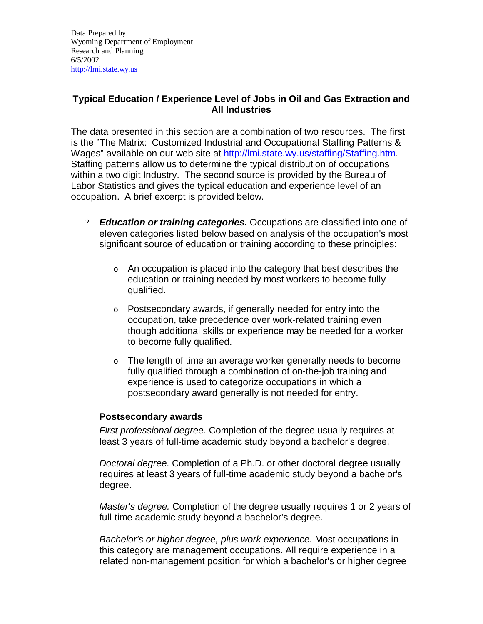## **Typical Education / Experience Level of Jobs in Oil and Gas Extraction and All Industries**

The data presented in this section are a combination of two resources. The first is the "The Matrix: Customized Industrial and Occupational Staffing Patterns & Wages" available on our web site at http://lmi.state.wy.us/staffing/Staffing.htm. Staffing patterns allow us to determine the typical distribution of occupations within a two digit Industry. The second source is provided by the Bureau of Labor Statistics and gives the typical education and experience level of an occupation. A brief excerpt is provided below.

- ? *Education or training categories.* Occupations are classified into one of eleven categories listed below based on analysis of the occupation's most significant source of education or training according to these principles:
	- o An occupation is placed into the category that best describes the education or training needed by most workers to become fully qualified.
	- o Postsecondary awards, if generally needed for entry into the occupation, take precedence over work-related training even though additional skills or experience may be needed for a worker to become fully qualified.
	- o The length of time an average worker generally needs to become fully qualified through a combination of on-the-job training and experience is used to categorize occupations in which a postsecondary award generally is not needed for entry.

## **Postsecondary awards**

*First professional degree.* Completion of the degree usually requires at least 3 years of full-time academic study beyond a bachelor's degree.

*Doctoral degree.* Completion of a Ph.D. or other doctoral degree usually requires at least 3 years of full-time academic study beyond a bachelor's degree.

*Master's degree.* Completion of the degree usually requires 1 or 2 years of full-time academic study beyond a bachelor's degree.

*Bachelor's or higher degree, plus work experience.* Most occupations in this category are management occupations. All require experience in a related non-management position for which a bachelor's or higher degree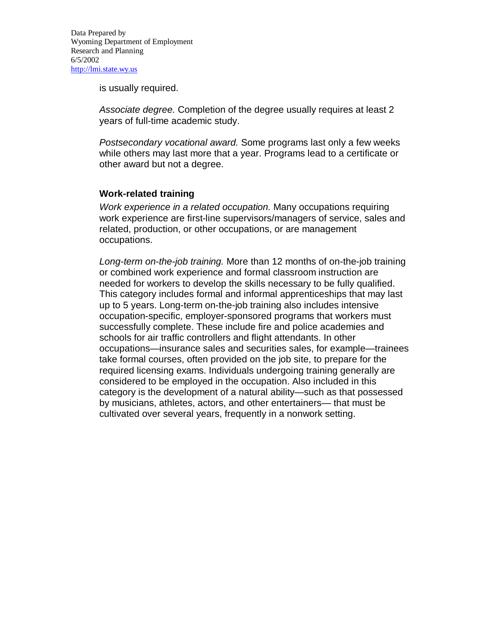is usually required.

*Associate degree.* Completion of the degree usually requires at least 2 years of full-time academic study.

*Postsecondary vocational award.* Some programs last only a few weeks while others may last more that a year. Programs lead to a certificate or other award but not a degree.

### **Work-related training**

*Work experience in a related occupation.* Many occupations requiring work experience are first-line supervisors/managers of service, sales and related, production, or other occupations, or are management occupations.

*Long-term on-the-job training.* More than 12 months of on-the-job training or combined work experience and formal classroom instruction are needed for workers to develop the skills necessary to be fully qualified. This category includes formal and informal apprenticeships that may last up to 5 years. Long-term on-the-job training also includes intensive occupation-specific, employer-sponsored programs that workers must successfully complete. These include fire and police academies and schools for air traffic controllers and flight attendants. In other occupations— insurance sales and securities sales, for example— trainees take formal courses, often provided on the job site, to prepare for the required licensing exams. Individuals undergoing training generally are considered to be employed in the occupation. Also included in this category is the development of a natural ability— such as that possessed by musicians, athletes, actors, and other entertainers— that must be cultivated over several years, frequently in a nonwork setting.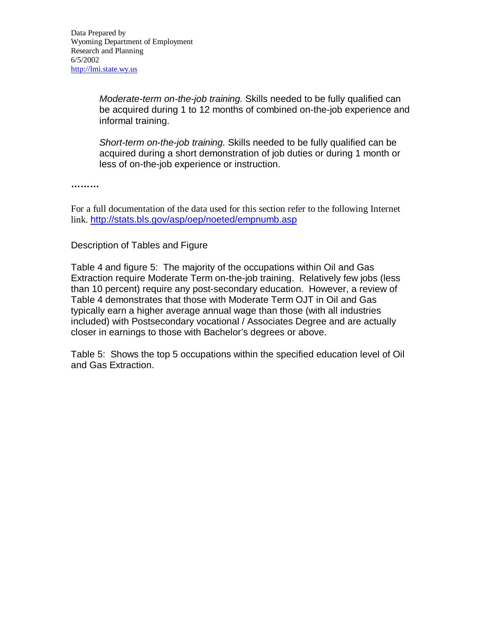*Moderate-term on-the-job training.* Skills needed to be fully qualified can be acquired during 1 to 12 months of combined on-the-job experience and informal training.

*Short-term on-the-job training.* Skills needed to be fully qualified can be acquired during a short demonstration of job duties or during 1 month or less of on-the-job experience or instruction.

**………**

For a full documentation of the data used for this section refer to the following Internet link. http://stats.bls.gov/asp/oep/noeted/empnumb.asp

### Description of Tables and Figure

Table 4 and figure 5: The majority of the occupations within Oil and Gas Extraction require Moderate Term on-the-job training. Relatively few jobs (less than 10 percent) require any post-secondary education. However, a review of Table 4 demonstrates that those with Moderate Term OJT in Oil and Gas typically earn a higher average annual wage than those (with all industries included) with Postsecondary vocational / Associates Degree and are actually closer in earnings to those with Bachelor's degrees or above.

Table 5: Shows the top 5 occupations within the specified education level of Oil and Gas Extraction.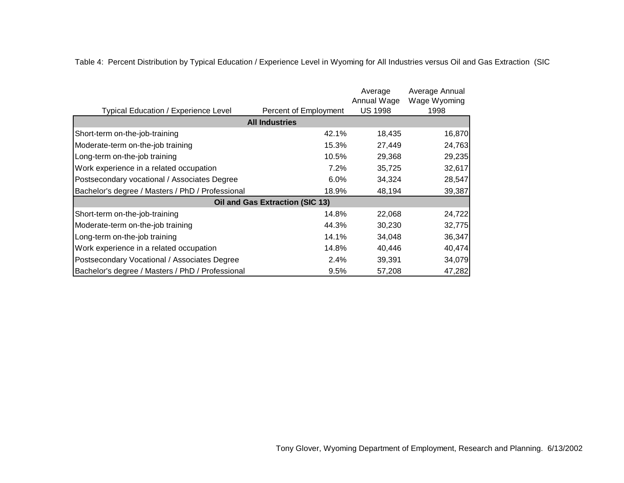Table 4: Percent Distribution by Typical Education / Experience Level in Wyoming for All Industries versus Oil and Gas Extraction (SIC

|                                                  |                                 | Average                       | Average Annual<br>Wage Wyoming |  |  |  |  |  |  |  |  |  |
|--------------------------------------------------|---------------------------------|-------------------------------|--------------------------------|--|--|--|--|--|--|--|--|--|
| <b>Typical Education / Experience Level</b>      | Percent of Employment           | Annual Wage<br><b>US 1998</b> | 1998                           |  |  |  |  |  |  |  |  |  |
| <b>All Industries</b>                            |                                 |                               |                                |  |  |  |  |  |  |  |  |  |
| Short-term on-the-job-training                   | 42.1%                           | 18,435                        | 16,870                         |  |  |  |  |  |  |  |  |  |
| Moderate-term on-the-job training                | 15.3%                           | 27,449                        | 24,763                         |  |  |  |  |  |  |  |  |  |
| Long-term on-the-job training                    | 10.5%                           | 29,368                        | 29,235                         |  |  |  |  |  |  |  |  |  |
| Work experience in a related occupation          | 7.2%                            | 35,725                        | 32,617                         |  |  |  |  |  |  |  |  |  |
| Postsecondary vocational / Associates Degree     | 6.0%                            | 34,324                        | 28,547                         |  |  |  |  |  |  |  |  |  |
| Bachelor's degree / Masters / PhD / Professional | 18.9%                           | 48,194                        | 39,387                         |  |  |  |  |  |  |  |  |  |
|                                                  | Oil and Gas Extraction (SIC 13) |                               |                                |  |  |  |  |  |  |  |  |  |
| Short-term on-the-job-training                   | 14.8%                           | 22,068                        | 24,722                         |  |  |  |  |  |  |  |  |  |
| Moderate-term on-the-job training                | 44.3%                           | 30,230                        | 32,775                         |  |  |  |  |  |  |  |  |  |
| Long-term on-the-job training                    | 14.1%                           | 34,048                        | 36,347                         |  |  |  |  |  |  |  |  |  |
| Work experience in a related occupation          | 14.8%                           | 40,446                        | 40,474                         |  |  |  |  |  |  |  |  |  |
| Postsecondary Vocational / Associates Degree     | 2.4%                            | 39,391                        | 34,079                         |  |  |  |  |  |  |  |  |  |
| Bachelor's degree / Masters / PhD / Professional | 9.5%                            | 57,208                        | 47,282                         |  |  |  |  |  |  |  |  |  |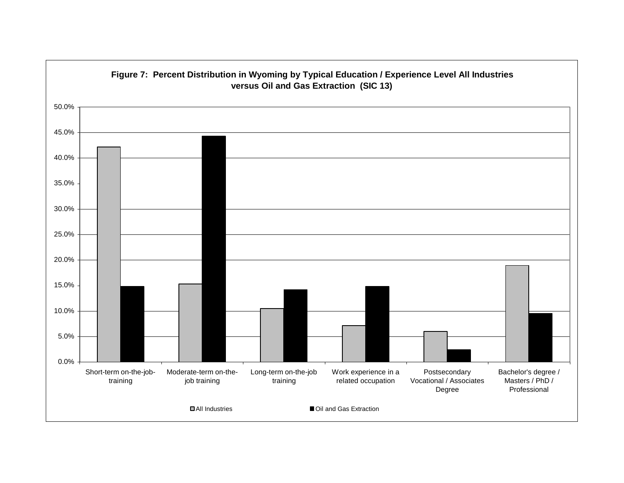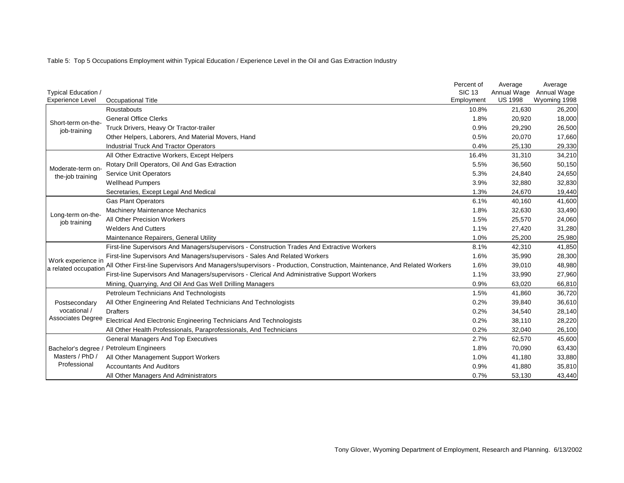Table 5: Top 5 Occupations Employment within Typical Education / Experience Level in the Oil and Gas Extraction Industry

|                                   |                                                                                                                        | Percent of    | Average        | Average      |
|-----------------------------------|------------------------------------------------------------------------------------------------------------------------|---------------|----------------|--------------|
| Typical Education /               |                                                                                                                        | <b>SIC 13</b> | Annual Wage    | Annual Wage  |
| <b>Experience Level</b>           | Occupational Title                                                                                                     | Employment    | <b>US 1998</b> | Wyoming 1998 |
|                                   | Roustabouts                                                                                                            | 10.8%         | 21,630         | 26,200       |
| Short-term on-the-                | <b>General Office Clerks</b>                                                                                           | 1.8%          | 20,920         | 18,000       |
| job-training                      | Truck Drivers, Heavy Or Tractor-trailer                                                                                | 0.9%          | 29,290         | 26,500       |
|                                   | Other Helpers, Laborers, And Material Movers, Hand                                                                     | 0.5%          | 20,070         | 17,660       |
|                                   | <b>Industrial Truck And Tractor Operators</b>                                                                          | 0.4%          | 25,130         | 29,330       |
|                                   | All Other Extractive Workers, Except Helpers                                                                           | 16.4%         | 31,310         | 34,210       |
| Moderate-term on-                 | Rotary Drill Operators, Oil And Gas Extraction                                                                         | 5.5%          | 36,560         | 50,150       |
| the-job training                  | Service Unit Operators                                                                                                 | 5.3%          | 24,840         | 24,650       |
|                                   | <b>Wellhead Pumpers</b>                                                                                                | 3.9%          | 32,880         | 32,830       |
|                                   | Secretaries, Except Legal And Medical                                                                                  | 1.3%          | 24,670         | 19,440       |
|                                   | <b>Gas Plant Operators</b>                                                                                             | 6.1%          | 40,160         | 41,600       |
|                                   | <b>Machinery Maintenance Mechanics</b>                                                                                 | 1.8%          | 32,630         | 33,490       |
| Long-term on-the-<br>job training | All Other Precision Workers                                                                                            | 1.5%          | 25,570         | 24,060       |
|                                   | <b>Welders And Cutters</b>                                                                                             | 1.1%          | 27,420         | 31,280       |
|                                   | Maintenance Repairers, General Utility                                                                                 | 1.0%          | 25,200         | 25,980       |
|                                   | First-line Supervisors And Managers/supervisors - Construction Trades And Extractive Workers                           | 8.1%          | 42,310         | 41,850       |
| Work experience in                | First-line Supervisors And Managers/supervisors - Sales And Related Workers                                            | 1.6%          | 35,990         | 28,300       |
| a related occupation              | All Other First-line Supervisors And Managers/supervisors - Production, Construction, Maintenance, And Related Workers | 1.6%          | 39,010         | 48,980       |
|                                   | First-line Supervisors And Managers/supervisors - Clerical And Administrative Support Workers                          | 1.1%          | 33,990         | 27,960       |
|                                   | Mining, Quarrying, And Oil And Gas Well Drilling Managers                                                              | 0.9%          | 63,020         | 66,810       |
|                                   | Petroleum Technicians And Technologists                                                                                | 1.5%          | 41,860         | 36,720       |
| Postsecondary                     | All Other Engineering And Related Technicians And Technologists                                                        | 0.2%          | 39,840         | 36,610       |
| vocational /                      | <b>Drafters</b>                                                                                                        | 0.2%          | 34,540         | 28,140       |
| Associates Degree                 | Electrical And Electronic Engineering Technicians And Technologists                                                    | 0.2%          | 38,110         | 28,220       |
|                                   | All Other Health Professionals, Paraprofessionals, And Technicians                                                     | 0.2%          | 32,040         | 26,100       |
|                                   | <b>General Managers And Top Executives</b>                                                                             | 2.7%          | 62,570         | 45,600       |
| Bachelor's degree /               | <b>Petroleum Engineers</b>                                                                                             | 1.8%          | 70,090         | 63,430       |
| Masters / PhD /                   | All Other Management Support Workers                                                                                   | 1.0%          | 41,180         | 33,880       |
| Professional                      | <b>Accountants And Auditors</b>                                                                                        | 0.9%          | 41,880         | 35,810       |
|                                   | All Other Managers And Administrators                                                                                  | 0.7%          | 53,130         | 43,440       |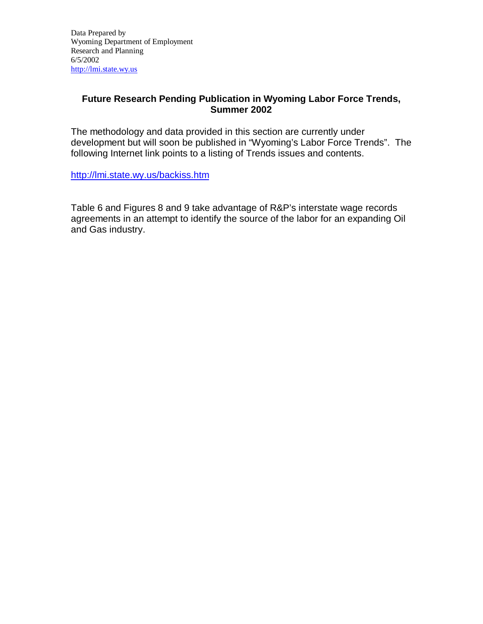### **Future Research Pending Publication in Wyoming Labor Force Trends, Summer 2002**

The methodology and data provided in this section are currently under development but will soon be published in "Wyoming's Labor Force Trends". The following Internet link points to a listing of Trends issues and contents.

http://lmi.state.wy.us/backiss.htm

Table 6 and Figures 8 and 9 take advantage of R&P's interstate wage records agreements in an attempt to identify the source of the labor for an expanding Oil and Gas industry.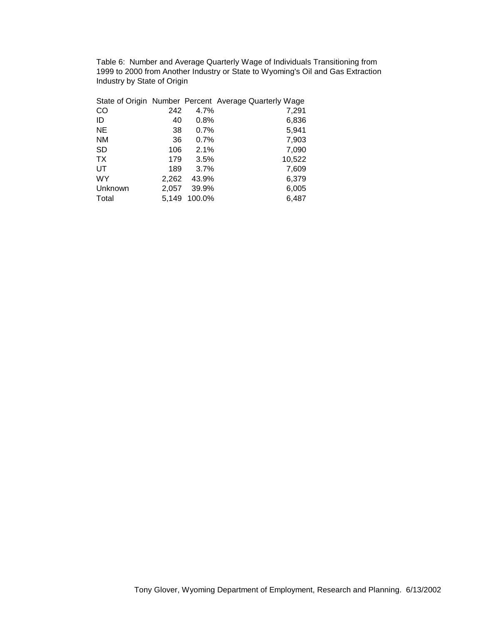Table 6: Number and Average Quarterly Wage of Individuals Transitioning from 1999 to 2000 from Another Industry or State to Wyoming's Oil and Gas Extraction Industry by State of Origin

|           |       |        | State of Origin Number Percent Average Quarterly Wage |
|-----------|-------|--------|-------------------------------------------------------|
| CO        | 242   | 4.7%   | 7,291                                                 |
| ID        | 40    | 0.8%   | 6,836                                                 |
| <b>NE</b> | 38    | 0.7%   | 5,941                                                 |
| ΝM        | 36    | 0.7%   | 7,903                                                 |
| <b>SD</b> | 106   | 2.1%   | 7,090                                                 |
| <b>TX</b> | 179   | 3.5%   | 10,522                                                |
| UT        | 189   | 3.7%   | 7,609                                                 |
| <b>WY</b> | 2,262 | 43.9%  | 6,379                                                 |
| Unknown   | 2,057 | 39.9%  | 6,005                                                 |
| Total     | 5.149 | 100.0% | 6,487                                                 |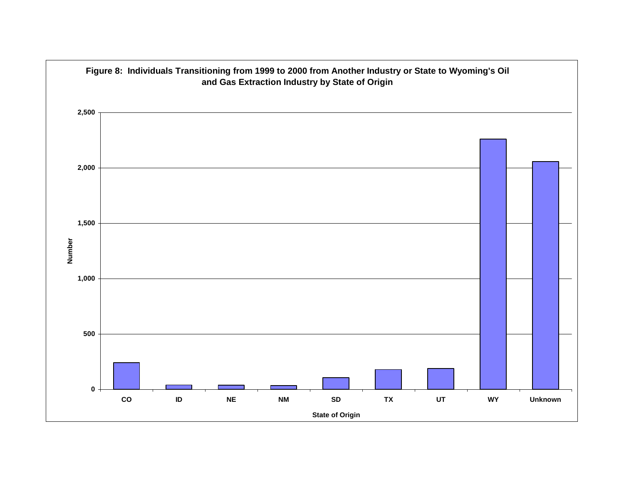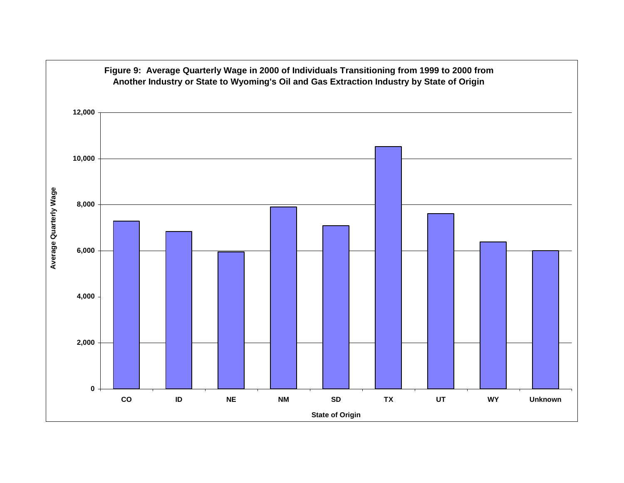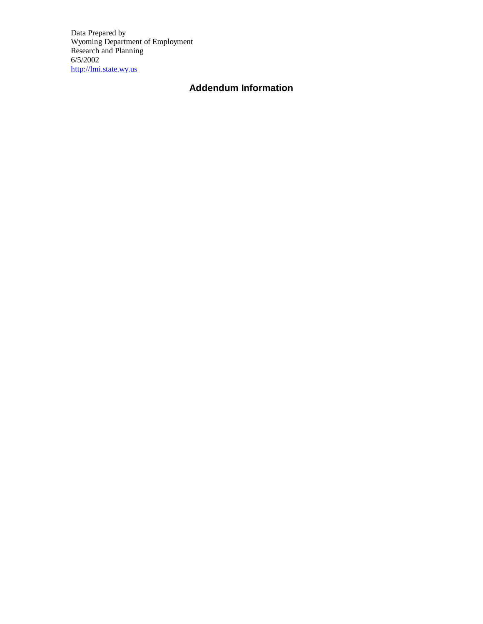Data Prepared by Wyoming Department of Employment Research and Planning 6/5/2002 http://lmi.state.wy.us

# **Addendum Information**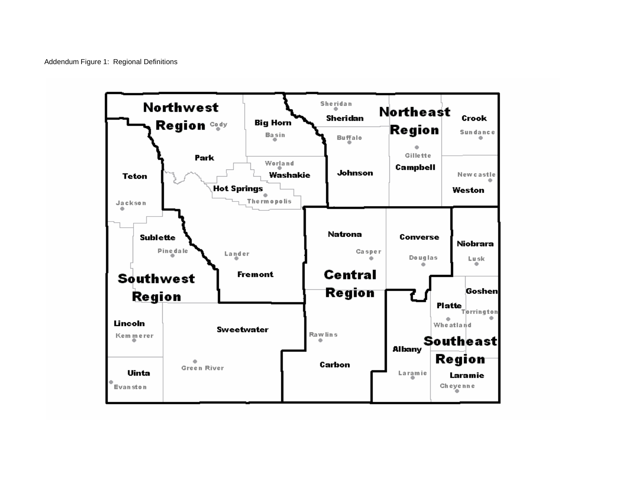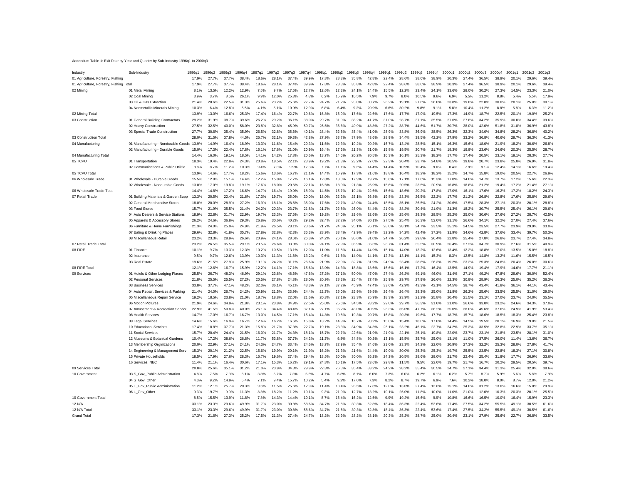#### Addendum Table 1: Exit Rate by Year and Quarter by Sub-Industry 1996q1 to 2000q3

| Industry                                | Sub-Industry                        | 1996q1 | 1996a2 | 1996a3 | 1996a4 | 1997a1 | 1997  | 1997a3 | 1997a4 | 1998a <sup>-</sup> | 1998a2 | 1998q3 | 1998a4 | 1999a1 | 1999a2 | 999a3  | 1999a4 | 2000a | 2000a2 | 2000g3 | 2000q4 | 2001q1 | 2001q2 | 2001q3 |
|-----------------------------------------|-------------------------------------|--------|--------|--------|--------|--------|-------|--------|--------|--------------------|--------|--------|--------|--------|--------|--------|--------|-------|--------|--------|--------|--------|--------|--------|
| 01 Agriculture, Forestry, Fishing       |                                     | 17.9%  | 27.7%  | 37.7%  | 38.4%  | 18.6%  | 28.7  | 37.49  | 39.9%  | 17.8%              | 28.8%  | 35.8%  | 42.8%  | 22.4%  | 28.6%  | 38.0%  | 38.9%  | 20.3% | 27.4%  | 36.5%  | 38.9%  | 20.1%  | 29.69  | 39.4%  |
| 01 Agriculture, Forestry, Fishing Total |                                     | 17.9%  | 27.7%  | 37.7   | 38.4%  | 18.6%  | 28    | 37.49  | 39.9%  | 17.8%              | 28.8%  | 35.8%  | 42.8%  | 22.4%  | 28.6%  | 38.0%  | 38.9%  | 20.3% | 27.4%  | 36.5%  | 38.9%  | 20.1%  | 29.69  | 39.4%  |
| 02 Mining                               | 01 Metal Mining                     | 8.1%   | 13.5%  | 12.2%  | 12.9%  | 7.5%   | 9.7%  | 17.6%  | 12.7%  | 12.6%              | 12.3%  | 24.1%  | 14.4%  | 15.5%  | 12.2%  | 23.4%  | 24.1%  | 33.6% | 28.0%  | 30.2%  | 27.3%  | 14.5%  | 23.3%  | 21.0%  |
|                                         | 02 Coal Mining                      | 3.9%   | 3.7%   | 8.5%   | 26.1%  | 9.9%   | 12.0% | 25.3%  | 4.8%   | 6.2%               | 15.9%  | 10.5%  | 7.9%   | 9.7%   | 8.0%   | 10.5%  | 9.6%   | 6.9%  | 5.5%   | 11.2%  | 8.8%   | 5.4%   | 5.5%   | 17.9%  |
|                                         | 03 Oil & Gas Extraction             | 21.4%  | 20.6%  | 22.5%  | 31.3%  | 25.6%  | 23.2% | 25.6%  | 27.7%  | 24.7%              | 21.2%  | 23.0%  | 30.7%  | 26.2%  | 19.1%  | 21.6%  | 26.0%  | 23.8% | 19.8%  | 22.8%  | 30.0%  | 28.1%  | 25.8%  | 30.1%  |
|                                         | 04 Nonmetallic Minerals Mining      | 10.3%  | 6.4%   | 12.8%  | 5.5%   | 4.1%   | 5.1%  | 10.0%  | 12.9%  | 6.8%               | 6.4%   | 9.2%   | 20.9%  | 6.6%   | 30.2%  | 9.8%   | 9.1%   | 5.8%  | 10.4%  | 11.2%  | 8.8%   | 5.8%   | 6.3%   | 11.2%  |
| 02 Mining Total                         |                                     | 13.9%  | 13.0%  | 16.6%  | 25.3%  | 17.4%  | 16.4% | 22.7%  | 19.6%  | 16.8%              | 16.9%  | 17.6%  | 22.6%  | 17.6%  | 17.7%  | 17.0%  | 19.5%  | 17.3% | 14.9%  | 18.7%  | 22.5%  | 20.1%  | 19.0%  | 25.2%  |
| 03 Construction                         | 01 General Building Contractors     | 29.2%  | 31.9%  | 38.7%  | 39.6%  | 26.2%  | 29.2% | 36.1%  | 38.0%  | 29.7%              | 31.9%  | 38.2%  | 41.7%  | 31.0%  | 28.7%  | 37.1%  | 35.5%  | 27.6% | 27.8%  | 34.2%  | 35.9%  | 30.0%  | 34.4%  | 39.6%  |
|                                         | 02 Heavy Construction               | 27.5%  | 32.5%  | 40.0%  | 58.0%  | 23.8%  | 32.8% | 45.9%  | 50.7%  | 25.5%              | 36.6%  | 40.9%  | 48.8%  | 27.2%  | 38.7%  | 44.6%  | 51.7%  | 30.7% | 38.0%  | 42.0%  | 51.8%  | 31.8%  | 36.9%  | 43.8%  |
|                                         | 03 Special Trade Construction       | 27.7%  | 30.6%  | 35.4%  | 35.9%  | 26.5%  | 32.8% | 35.6%  | 40.1%  | 28.4%              | 32.5%  | 35.4%  | 41.0%  | 28.9%  | 33.8%  | 36.9%  | 38.5%  | 26.3% | 32.3%  | 34.0%  | 34.8%  | 28.2%  | 36.8%  | 40.2%  |
| 03 Construction Total                   |                                     | 28.0%  | 31.5%  | 37.8%  |        | 25.7%  | 32.1% | 39.3%  | 42.8%  | 27.9%              | 33.7%  | 37.9%  | 43.6%  | 28.9%  |        | 39.5%  | 42.2%  | 27.9% | 33.2%  |        | 40.6%  | 29.7%  | 36.3%  | 41.3%  |
|                                         |                                     |        | 14.9%  |        | 44.5%  |        |       |        |        | 11.6%              |        | 19.2%  |        |        | 34.4%  |        |        |       |        | 36.8%  |        |        |        | 26.8%  |
| 04 Manufacturing                        | 01 Manufacturing - Nondurable Goods | 13.9%  |        | 16.4%  | 18.9%  | 13.3%  | 11.6% | 15.4%  | 20.3%  |                    | 12.3%  |        | 20.2%  | 16.7%  | 13.4%  | 28.5%  | 15.1%  | 16.3% | 15.6%  | 18.0%  | 21.9%  | 18.2%  | 30.6%  |        |
|                                         | 02 Manufacturing - Durable Goods    | 15.0%  | 17.3%  | 22.4%  | 17.8%  | 15.1%  | 17.6% | 21.0%  | 20.9%  | 16.4%              | 17.6%  | 21.3%  | 21.0%  | 15.8%  | 19.5%  | 20.7%  | 21.7%  | 19.3% | 19.8%  | 23.6%  | 24.6%  | 20.3%  | 25.5%  | 28.7%  |
| 04 Manufacturing Total                  |                                     | 14.4%  | 16.0%  | 19.1%  | 18.5%  | 14.1%  | 14.2% | 17.8%  | 20.6%  | 13.7%              | 14.6%  | 20.2%  | 20.5%  | 16.3%  | 16.1%  | 25.3%  | 18.2%  | 17.7% | 17.4%  | 20.5%  | 23.1%  | 19.1%  | 28.3%  | 27.7%  |
| 05 TCPU                                 | 01 Transportation                   | 18.3%  | 19.4%  | 22.8%  | 24.3%  | 20.8%  | 18.5% | 22.1%  | 23.9%  | 19.2%              | 21.3%  | 23.2%  | 27.0%  | 22.3%  | 20.4%  | 23.7%  | 24.8%  | 20.5% | 19.8%  | 20.7%  | 23.8%  | 25.0%  | 26.9%  | 31.8%  |
|                                         | 02 Communications & Public Utilitie | 8.8%   | 8.7%   | 11.2%  | 10.3%  | 9.4%   | 7.8%  | 9.9%   | 17.3%  | 7.7%               | 11.1%  | 9.3%   | 14.4%  | 14.4%  | 10.9%  | 10.4%  | 9.0%   | 8.4%  | 7.9%   | 9.1%   | 12.4%  | 14.1%  | 16.6%  | 19.4%  |
| 05 TCPU Total                           |                                     | 13.9%  | 14.6%  | 17.7%  | 18.2%  | 15.6%  | 13.6% | 16.7%  | 21.1%  | 14.4%              | 16.9%  | 17.3%  | 21.6%  | 18.8%  | 16.4%  | 18.2%  | 18.2%  | 15.2% | 14.7%  | 15.8%  | 19.0%  | 20.5%  | 22.7%  | 26.9%  |
| 06 Wholesale Trade                      | 01 Wholesale - Durable Goods        | 15.5%  | 12.8%  | 15.1%  | 14.4%  | 12.2%  | 15.0% | 17.7%  | 16.1%  | 12.8%              | 13.8%  | 17.9%  | 19.7%  | 15.6%  | 17.1%  | 17.6%  | 15.3%  | 17.0% | 14.0%  | 14.7%  | 13.7%  | 17.2%  | 15.6%  | 22.3%  |
|                                         | 02 Wholesale - Nondurable Goods     | 13.0%  | 17.0%  | 19.8%  | 19.1%  | 17.6%  | 18.0% | 20.5%  | 22.1%  | 16.6%              | 18.0%  | 21.3%  | 25.9%  | 15.6%  | 20.5%  | 23.5%  | 20.9%  | 16.8% | 18.8%  | 21.2%  | 19.4%  | 17.2%  | 21.4%  | 27.1%  |
| 06 Wholesale Trade Total                |                                     | 14.4%  | 14.8%  | 17.2%  | 16.6%  | 14 7%  | 16.4% | 19.0%  | 18.9%  | 14.5%              | 15.7%  | 19.4%  | 22.6%  | 15.6%  | 18.6%  | 20, 2% | 17.8%  | 17.0% | 16.1%  | 17.6%  | 16.2%  | 17.2%  | 18.2%  | 24.3%  |
| 07 Retail Trade                         | 01 Building Materials & Garden Supp | 13.3%  | 20.5%  | 22.4%  | 21.6%  | 17.3%  | 19.7% | 25.0%  | 20.0%  | 18.0%              | 22.2%  | 25.1%  | 26.8%  | 19.8%  | 23.3%  | 26.5%  | 22.2%  | 17.7% | 21.2%  | 26.8%  | 22.8%  | 17.6%  | 25.8%  | 29.6%  |
|                                         | 02 General Merchandise Stores       | 18.0%  | 20.0%  | 28.9%  | 27.2%  | 16.9%  | 18.1% | 28.5%  | 35.0%  | 17.6%              | 22.7%  | 43.0%  | 24.4%  | 18.5%  | 35.1%  | 36.5%  | 24.2%  | 20.6% | 17.5%  | 28.3%  | 27.1%  | 20.3%  | 20.19  | 28.8%  |
|                                         | 03 Food Stores                      | 15.7%  | 21.9%  | 35.5%  | 21.4%  | 24.2%  | 20.3% | 23.7%  | 21.8%  | 21.7%              | 22.8%  | 26.0%  | 54.4%  | 21.9%  | 38.2%  | 30.4%  | 21.9%  | 21.3% | 18.2%  | 30.7%  | 25.5%  | 25.4%  | 26.1%  | 29.6%  |
|                                         | 04 Auto Dealers & Service Stations  | 18.9%  | 22.8%  | 31.7%  | 22.9%  | 19.7%  | 23.3% | 27.6%  | 24.0%  | 19.2%              | 24.0%  | 29.6%  | 32.6%  | 25.0%  | 25.6%  | 29.3%  | 28.5%  | 25.2% | 25.0%  | 30.6%  | 27.6%  | 27.2%  | 28.7%  | 42.5%  |
|                                         | 05 Apparels & Accessory Stores      | 26.2%  | 24.6%  | 36.8%  | 29.3%  | 26.8%  | 30.6% | 40.2%  | 29.2%  | 32.4%              | 32.2%  | 34.0%  | 30.1%  | 27.5%  | 25.4%  | 36.3%  | 52.0%  | 31.1% | 26.6%  | 34.1%  | 32.2%  | 27.0%  | 27.4%  | 37.6%  |
|                                         | 06 Furniture & Home Furnishings     | 21.3%  | 24.0%  | 25.0%  | 24.9%  | 21.9%  | 26.5% | 28.1%  | 23.6%  | 21.7%              | 24.5%  | 25.1%  | 26.1%  | 28.0%  | 28.1%  | 24.7%  | 23.5%  | 25.1% | 24.5%  | 23.5%  | 27.7%  | 23.9%  | 29.9%  | 33.0%  |
|                                         | 07 Eating & Drinking Places         | 29.6%  | 32.8%  | 41.8%  | 35.7%  | 27.8%  | 32.8% | 42.3%  | 36.3%  | 28.9%              | 33.4%  | 42.9%  | 39.4%  | 32.2%  | 34.2%  | 42.4%  | 37.2%  | 31.9% | 34.6%  | 42.8%  | 37.6%  | 33.4%  | 39.7%  | 50.3%  |
|                                         | 08 Miscellaneous Retai              | 23.2%  | 23.3%  | 28.9%  | 26.6%  | 20.9%  | 24.1% | 28.6%  | 26.3%  | 24.2%              | 26.1%  | 30.6%  | 31.0%  | 24.7%  | 26.2%  | 29.8%  | 26.4%  | 22.8% | 25.4%  | 27.8%  | 26.8%  | 23.7%  | 27.4%  | 34.8%  |
| 07 Retail Trade Total                   |                                     | 23.2%  | 26.5%  | 35.5%  | 29.1%  | 23.5%  | 26.6% | 33.8%  | 30.0%  | 24.1%              | 27.9%  | 35.9%  | 36.6%  | 26.7%  | 31.4%  | 35.5%  | 30.9%  | 26.4% | 27.2%  | 34 7%  | 30.9%  | 27.6%  | 31.5%  | 40.9%  |
| 08 FIRE                                 | 01 Finance                          | 10.1%  | 9.7%   | 13.3%  | 12.3%  | 10.2%  | 10.5% | 13.1%  | 12.0%  | 11.0%              | 11.5%  | 14.4%  | 14.9%  | 15.1%  | 14.0%  | 13.2%  | 12.6%  | 13.4% | 12.2%  | 18.8%  | 17.0%  | 13.5%  | 15.0%  | 18.8%  |
|                                         | 02 Insurance                        | 9.5%   | 9.7%   | 12.6%  | 13.9%  | 10.3%  | 11.3% | 11.6%  | 13.2%  | 9.6%               | 11.6%  | 14.0%  | 14.1%  | 12.3%  | 13.1%  | 14.1%  | 15.3%  | 8.3%  | 12.5%  | 14.8%  | 13.2%  | 11.6%  | 15.5%  | 16.5%  |
|                                         | 03 Real Estate                      | 19.6%  | 21.5%  | 27.9%  | 25.9%  | 19.1%  | 24.2% | 31.1%  | 26.6%  | 21.9%              | 22.9%  | 32.7%  | 31.9%  | 24.9%  | 23.4%  | 28.6%  | 26.3%  | 19.2% | 23.2%  | 25.3%  | 24.8%  | 20.4%  | 26.0%  | 30.6%  |
| 08 FIRE Total                           |                                     | 12.1%  | 12.6%  | 16.7%  | 15.9%  | 12.2%  | 14.1% | 17.1%  | 15.6%  | 13.0%              | 14.3%  | 18.8%  | 18.6%  | 16.6%  | 16.1%  | 17.2%  | 16.4%  | 13.5% | 14.9%  | 19.4%  | 17.9%  | 14.6%  | 17.7%  | 21.1%  |
|                                         |                                     |        |        |        |        |        |       |        |        |                    |        |        |        |        |        |        |        |       |        |        |        |        |        | 52.4%  |
| 09 Services                             | 01 Hotels & Other Lodging Places    | 25.5%  | 26.7%  | 48.3%  | 46.9%  | 29.1%  | 23.6% | 48.6%  | 47.6%  | 27.2%              | 27.1%  | 50.0%  | 47.0%  | 27.4%  | 26.2%  | 49.1%  | 46.0%  | 31.4% | 27.1%  | 49.2%  | 47.8%  | 29.6%  | 30.0%  |        |
|                                         | 02 Personal Services                | 21.8%  | 25.5%  | 25.5%  | 27.2%  | 20.5%  | 27.8% | 24.8%  | 28.0%  | 20.9%              | 28.3%  | 25.4%  | 27.4%  | 25.9%  | 29.7%  | 27.9%  | 26.6%  | 22.3% | 30.8%  | 28.9%  | 26.3%  | 25.0%  | 35.2%  | 36.3%  |
|                                         | 03 Business Services                | 33.8%  | 37.7%  | 47.1%  | 48.2%  | 32.0%  | 36.1% | 45.1%  | 43.3%  | 37.1%              | 37.2%  | 45.9%  | 47.4%  | 33.6%  | 42.9%  | 43.3%  | 42.1%  | 34.5% | 38.7%  | 43.4%  | 41.8%  | 36.1%  | 44.1%  | 43.4%  |
|                                         | 04 Auto Repair, Services & Parking  | 21.4%  | 24.0%  | 26.7%  | 24.2%  | 20.9%  | 21.5% | 23.9%  | 24.4%  | 22.7%              | 25.0%  | 25.9%  | 29.5%  | 26.4%  | 26.4%  | 28.3%  | 25.0%  | 21.8% | 26.2%  | 25.6%  | 23.5%  | 25.5%  | 31.0%  | 29.0%  |
|                                         | 05 Miscellaneous Repair Service     | 19.2%  | 18.5%  | 23.8%  | 21.0%  | 18.7%  | 18.8% | 22.0%  | 21.6%  | 20.3%              | 22.1%  | 23.3%  | 25.9%  | 18.3%  | 23.9%  | 21.2%  | 25.8%  | 20.4% | 21.5%  | 23.1%  | 27.0%  | 23.7%  | 24.0%  | 35.5%  |
|                                         | 06 Motion Pictures                  | 21.9%  | 24.6%  | 34.9%  | 21.8%  | 23.1%  | 23.8% | 34.9%  | 22.5%  | 25.0%              | 25.6%  | 34.5%  | 28.2%  | 29.0%  | 29.7%  | 36.3%  | 31.0%  | 21.0% | 26.6%  | 33.0%  | 23.2%  | 24.6%  | 34.3%  | 37.0%  |
|                                         | 07 Amusement & Recreation Service   | 22.9%  | 41.5%  | 50.8%  | 40.0%  | 26.1%  | 34.4% | 48.4%  | 37.1%  | 27.1%              | 36.2%  | 48.0%  | 40.9%  | 26.3%  | 35.0%  | 47.7%  | 36.2%  | 25.0% | 38.0%  | 45.6%  | 37.6%  | 24.9%  | 41.9%  | 53.4%  |
|                                         | 08 Health Services                  | 14.7%  | 17.0%  | 16.7%  | 16.7%  | 13.0%  | 14.5% | 17.1%  | 15.4%  | 14.8%              | 19.5%  | 19.3%  | 20.7%  | 16.8%  | 20.3%  | 19.6%  | 17.7%  | 18.7% | 15.7%  | 18.6%  | 18.5%  | 18.3%  | 25.4%  | 23.8%  |
|                                         | 09 Legal Services                   | 14.6%  | 15.6%  | 16.9%  | 16.7%  | 12.6%  | 16.2% | 16.5%  | 15.8%  | 13.2%              | 14.9%  | 16.7%  | 20.2%  | 15.8%  | 15.4%  | 18.0%  | 17.0%  | 14.4% | 14.5%  | 19.5%  | 20.1%  | 16.9%  | 19.0%  | 21.5%  |
|                                         | 10 Educational Services             | 17.4%  | 18.8%  | 37.7%  | 21.3%  | 15.8%  | 21.7% | 37.3%  | 22.7%  | 19.1%              | 23.3%  | 34.9%  | 34.3%  | 25.1%  | 23.2%  | 46.1%  | 22.7%  | 24.2% | 25.3%  | 33.5%  | 32.8%  | 22.9%  | 33.7%  | 35.1%  |
|                                         | 11 Social Services                  | 15.7%  | 20.4%  | 24.4%  | 21.5%  | 16.0%  | 21.7% | 24.3%  | 18.1%  | 15.7%              | 22.7%  | 22.6%  | 21.9%  | 21.9%  | 22.1%  | 25.1   | 19.8%  | 22.0% | 23.7%  | 23.1%  | 21.8%  | 23.5%  | 28.    | 31.0%  |
|                                         | 12 Museums & Botanical Gardens      | 10.4%  | 17.2%  | 38.6%  | 26.8%  | 11.7%  | 53.8% | 37.7%  | 34.3%  | 21.7%              | 9.8%   | 34.8%  | 30.2%  | 13.1%  | 15.5%  | 35.7%  | 25.0%  | 13.1% | 11.0%  | 37.5%  | 26.0%  | 11.4%  | 13.6%  | 36.7%  |
|                                         | 13 Membership Orginizations         | 20.0%  | 22.9%  | 37.1%  | 24.1%  | 24.3%  | 24.7% | 33.4%  | 24.6%  | 18.7%              | 22.9%  | 35.4%  | 24.6%  | 23.0%  | 23.3%  | 34.2%  | 22.0%  | 20.9% | 27.3%  | 32.2%  | 25.3%  | 28.0%  | 27.8%  | 41.7%  |
|                                         | 14 Engineering & Management Serv    | 15.3%  | 20.1%  | 21.2%  | 22.5%  | 15.6%  | 19.9% | 20.1%  | 21.9%  | 16.2%              | 21.3%  | 21.6%  | 24.4%  | 19.0%  | 30.0%  | 25.3%  | 25.3%  | 19.7% | 25.5%  | 23.5%  | 22.8%  | 18.3%  | 27.1%  | 30.8%  |
|                                         | 15 Private Households               | 18.5%  | 17.9%  | 27.6%  | 28.3%  | 15.7%  | 19.6% | 27.4%  | 29.4%  | 18.5%              | 20.0%  | 30.0%  | 26.2%  | 24.2%  | 20.5%  | 28.6%  | 28.0%  | 21.7% | 22.4%  | 25.4%  | 31.8%  | 17.7%  | 26.9%  | 33.6%  |
|                                         | 16 Services, NEC                    | 11.4%  | 21.1%  | 16.4%  | 30.6%  | 17.1%  | 15.3% | 16.2%  | 29.1%  | 24.8%              | 16.1%  | 17.5%  | 23.6%  | 29.8%  | 11.5%  | 9.5%   | 22.0%  | 19.7% | 21.7%  | 16.7%  | 20.2%  | 29.5%  | 20.5%  | 39.7%  |
| 09 Services Total                       |                                     | 20.8%  | 25.6%  | 35.1%  | 31.2%  | 21.0%  | 23.9% | 34.3%  | 29.9%  | 22.3%              | 26.3%  | 35.4%  | 33.2%  | 24.2%  | 28.2%  | 35.4%  | 30.5%  | 24.7% | 27.1%  | 34.4%  | 31.3%  | 25.4%  | 32.0%  | 38.6%  |
| 10 Government                           | 03 S Gov Public Administration      | 4.8%   | 7.5%   | 7.3%   | 6.1%   | 3.8%   | 5.7%  | 7.3%   | 5.6%   | 4.7%               | 6.8%   | 8.1%   | 6.0%   | 7.3%   | 6.0%   | 6.2%   | 6.1%   | 6.2%  | 5.7%   | 8.7%   | 5.9%   | 5.6%   | 5.8%   | 7.8%   |
|                                         | 04 S Gov Othe                       | 4.3%   | 9.2%   | 14.9%  | 5.4%   | 7.1%   | 9.4%  | 15.7%  | 10.2%  | 5.4%               | 9.2%   | 17.0%  | 7.3%   | 8.2%   | 8.7%   | 19.7%  | 6.9%   | 7.6%  | 10.2%  | 18.0%  | 8.0%   | 8.7%   | 12.0%  | 21.2%  |
|                                         | 05 L Gov Public<br>Administration   | 11.2%  | 12.1%  | 25.7%  | 20.3%  | 9.5%   | 11.5% | 25.6%  | 12.9%  | 11.4%              | 13.4%  | 28.5%  | 17.8%  | 12.0%  | 13.0%  | 27.4%  | 13.6%  | 15.1% | 14.0%  | 31.2%  | 13.0%  | 16.6%  | 15.0%  | 29.9%  |
|                                         | 06 L_Gov_Other                      | 9.3%   | 19.7%  | 9.9%   | 11.3%  | 8.3%   | 18.2% | 11.2%  | 10.1%  | 9.3%               | 21.0%  | 12.7%  | 13.2%  | 10.1%  | 26.0%  | 11.8%  | 10.0%  | 11.0% | 21.0%  | 12.0%  | 10.3%  | 20.3%  | 20.1%  | 25.5%  |
| 10 Government Total                     |                                     | 8.5%   | 15.5%  | 13.9%  | 11.8%  | 7.8%   | 14.3% | 14.4%  | 10.1%  | 8.7%               | 16.4%  | 16.2%  | 12.5%  | 9.9%   | 19.2%  | 15.6%  | 9.9%   | 10.8% | 16.6%  | 16.5%  | 10.0%  | 16.4%  | 15.9%  | 23.3%  |
| 12 N/A                                  |                                     | 33.1%  | 23.3%  | 29.6%  | 49.9%  | 31 7%  | 23.0% | 30.8%  | 58.6%  | 34 7%              | 21.5%  | 30.3%  | 52.8%  | 18.4%  | 36.3%  | 22.4%  | 53.6%  | 17.4% | 27.5%  | 34.2%  | 55.5%  | 49.1%  | 30.5%  | 61.6%  |
| 12 N/A Total                            |                                     | 33.1%  | 23.3%  | 29.6%  | 49.9%  | 31.7%  | 23.0% | 30.8%  | 58.6%  | 34.7%              | 21.5%  | 30.3%  | 52.8%  | 18.4%  | 36.3%  | 22.4%  | 53.6%  | 17.4% | 27.5%  | 34.2%  | 55.5%  | 49.1%  | 30.5%  | 61.6%  |
| <b>Grand Total</b>                      |                                     | 17.3%  | 21.6%  | 27.3%  | 25.2%  | 17.5%  | 21.3% | 27.4%  | 24.7%  | 18.2%              | 22.9%  | 28.2%  | 28.1%  | 20.2%  | 25.2%  | 28.7%  | 25.0%  | 20.4% | 23.1%  | 27.9%  | 25.6%  | 22.7%  | 26.8%  | 33.5%  |
|                                         |                                     |        |        |        |        |        |       |        |        |                    |        |        |        |        |        |        |        |       |        |        |        |        |        |        |